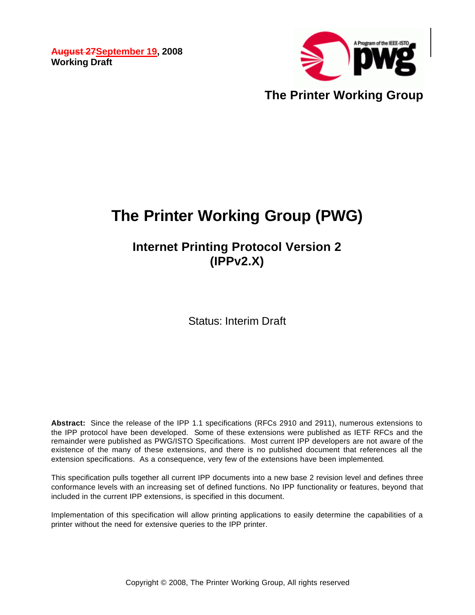**August 27September 19, 2008 Working Draft** 



**The Printer Working Group (PWG)**

**Internet Printing Protocol Version 2 (IPPv2.X)**

Status: Interim Draft

**Abstract:** Since the release of the IPP 1.1 specifications (RFCs 2910 and 2911), numerous extensions to the IPP protocol have been developed. Some of these extensions were published as IETF RFCs and the remainder were published as PWG/ISTO Specifications. Most current IPP developers are not aware of the existence of the many of these extensions, and there is no published document that references all the extension specifications. As a consequence, very few of the extensions have been implemented.

This specification pulls together all current IPP documents into a new base 2 revision level and defines three conformance levels with an increasing set of defined functions. No IPP functionality or features, beyond that included in the current IPP extensions, is specified in this document.

Implementation of this specification will allow printing applications to easily determine the capabilities of a printer without the need for extensive queries to the IPP printer.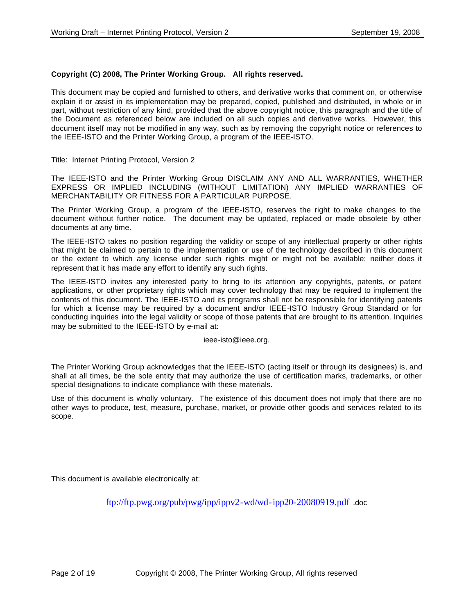#### **Copyright (C) 2008, The Printer Working Group. All rights reserved.**

This document may be copied and furnished to others, and derivative works that comment on, or otherwise explain it or assist in its implementation may be prepared, copied, published and distributed, in whole or in part, without restriction of any kind, provided that the above copyright notice, this paragraph and the title of the Document as referenced below are included on all such copies and derivative works. However, this document itself may not be modified in any way, such as by removing the copyright notice or references to the IEEE-ISTO and the Printer Working Group, a program of the IEEE-ISTO.

Title: Internet Printing Protocol, Version 2

The IEEE-ISTO and the Printer Working Group DISCLAIM ANY AND ALL WARRANTIES, WHETHER EXPRESS OR IMPLIED INCLUDING (WITHOUT LIMITATION) ANY IMPLIED WARRANTIES OF MERCHANTABILITY OR FITNESS FOR A PARTICULAR PURPOSE.

The Printer Working Group, a program of the IEEE-ISTO, reserves the right to make changes to the document without further notice. The document may be updated, replaced or made obsolete by other documents at any time.

The IEEE-ISTO takes no position regarding the validity or scope of any intellectual property or other rights that might be claimed to pertain to the implementation or use of the technology described in this document or the extent to which any license under such rights might or might not be available; neither does it represent that it has made any effort to identify any such rights.

The IEEE-ISTO invites any interested party to bring to its attention any copyrights, patents, or patent applications, or other proprietary rights which may cover technology that may be required to implement the contents of this document. The IEEE-ISTO and its programs shall not be responsible for identifying patents for which a license may be required by a document and/or IEEE-ISTO Industry Group Standard or for conducting inquiries into the legal validity or scope of those patents that are brought to its attention. Inquiries may be submitted to the IEEE-ISTO by e-mail at:

ieee-isto@ieee.org.

The Printer Working Group acknowledges that the IEEE-ISTO (acting itself or through its designees) is, and shall at all times, be the sole entity that may authorize the use of certification marks, trademarks, or other special designations to indicate compliance with these materials.

Use of this document is wholly voluntary. The existence of this document does not imply that there are no other ways to produce, test, measure, purchase, market, or provide other goods and services related to its scope.

This document is available electronically at:

ftp://ftp.pwg.org/pub/pwg/ipp/ippv2-wd/wd-ipp20-20080919.pdf .doc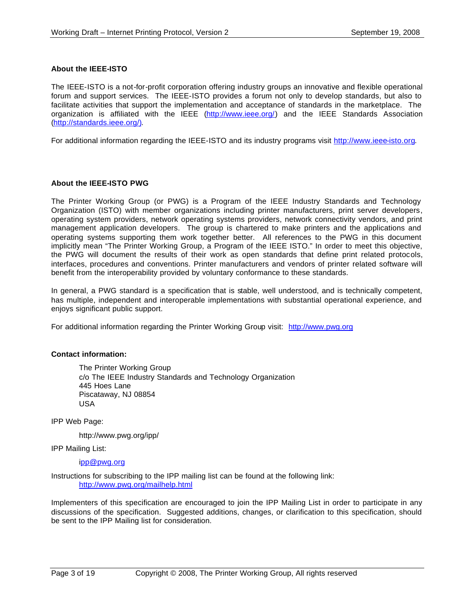#### **About the IEEE-ISTO**

The IEEE-ISTO is a not-for-profit corporation offering industry groups an innovative and flexible operational forum and support services. The IEEE-ISTO provides a forum not only to develop standards, but also to facilitate activities that support the implementation and acceptance of standards in the marketplace. The organization is affiliated with the IEEE (http://www.ieee.org/) and the IEEE Standards Association (http://standards.ieee.org/).

For additional information regarding the IEEE-ISTO and its industry programs visit http://www.ieee-isto.org.

#### **About the IEEE-ISTO PWG**

The Printer Working Group (or PWG) is a Program of the IEEE Industry Standards and Technology Organization (ISTO) with member organizations including printer manufacturers, print server developers, operating system providers, network operating systems providers, network connectivity vendors, and print management application developers. The group is chartered to make printers and the applications and operating systems supporting them work together better. All references to the PWG in this document implicitly mean "The Printer Working Group, a Program of the IEEE ISTO." In order to meet this objective, the PWG will document the results of their work as open standards that define print related protocols, interfaces, procedures and conventions. Printer manufacturers and vendors of printer related software will benefit from the interoperability provided by voluntary conformance to these standards.

In general, a PWG standard is a specification that is stable, well understood, and is technically competent, has multiple, independent and interoperable implementations with substantial operational experience, and enjoys significant public support.

For additional information regarding the Printer Working Group visit: http://www.pwg.org

#### **Contact information:**

The Printer Working Group c/o The IEEE Industry Standards and Technology Organization 445 Hoes Lane Piscataway, NJ 08854 USA

IPP Web Page:

http://www.pwg.org/ipp/

IPP Mailing List:

ipp@pwg.org

Instructions for subscribing to the IPP mailing list can be found at the following link: http://www.pwg.org/mailhelp.html

Implementers of this specification are encouraged to join the IPP Mailing List in order to participate in any discussions of the specification. Suggested additions, changes, or clarification to this specification, should be sent to the IPP Mailing list for consideration.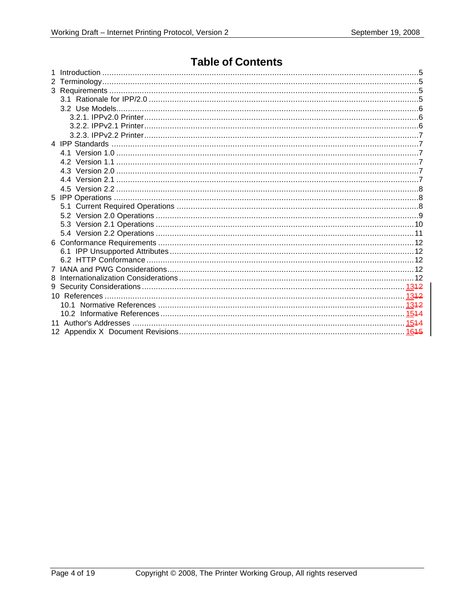## **Table of Contents**

| 8 |  |
|---|--|
|   |  |
|   |  |
|   |  |
|   |  |
|   |  |
|   |  |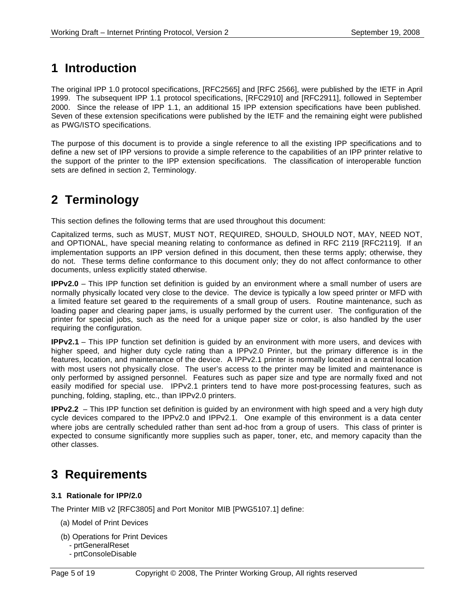# **1 Introduction**

The original IPP 1.0 protocol specifications, [RFC2565] and [RFC 2566], were published by the IETF in April 1999. The subsequent IPP 1.1 protocol specifications, [RFC2910] and [RFC2911], followed in September 2000. Since the release of IPP 1.1, an additional 15 IPP extension specifications have been published. Seven of these extension specifications were published by the IETF and the remaining eight were published as PWG/ISTO specifications.

The purpose of this document is to provide a single reference to all the existing IPP specifications and to define a new set of IPP versions to provide a simple reference to the capabilities of an IPP printer relative to the support of the printer to the IPP extension specifications. The classification of interoperable function sets are defined in section 2, Terminology.

# **2 Terminology**

This section defines the following terms that are used throughout this document:

Capitalized terms, such as MUST, MUST NOT, REQUIRED, SHOULD, SHOULD NOT, MAY, NEED NOT, and OPTIONAL, have special meaning relating to conformance as defined in RFC 2119 [RFC2119]. If an implementation supports an IPP version defined in this document, then these terms apply; otherwise, they do not. These terms define conformance to this document only; they do not affect conformance to other documents, unless explicitly stated otherwise.

**IPPv2.0** – This IPP function set definition is guided by an environment where a small number of users are normally physically located very close to the device. The device is typically a low speed printer or MFD with a limited feature set geared to the requirements of a small group of users. Routine maintenance, such as loading paper and clearing paper jams, is usually performed by the current user. The configuration of the printer for special jobs, such as the need for a unique paper size or color, is also handled by the user requiring the configuration.

**IPPv2.1** – This IPP function set definition is guided by an environment with more users, and devices with higher speed, and higher duty cycle rating than a IPPv2.0 Printer, but the primary difference is in the features, location, and maintenance of the device. A IPPv2.1 printer is normally located in a central location with most users not physically close. The user's access to the printer may be limited and maintenance is only performed by assigned personnel. Features such as paper size and type are normally fixed and not easily modified for special use. IPPv2.1 printers tend to have more post-processing features, such as punching, folding, stapling, etc., than IPPv2.0 printers.

**IPPv2.2** – This IPP function set definition is guided by an environment with high speed and a very high duty cycle devices compared to the IPPv2.0 and IPPv2.1. One example of this environment is a data center where jobs are centrally scheduled rather than sent ad-hoc from a group of users. This class of printer is expected to consume significantly more supplies such as paper, toner, etc, and memory capacity than the other classes.

# **3 Requirements**

### **3.1 Rationale for IPP/2.0**

The Printer MIB v2 [RFC3805] and Port Monitor MIB [PWG5107.1] define:

- (a) Model of Print Devices
- (b) Operations for Print Devices
	- prtGeneralReset
	- prtConsoleDisable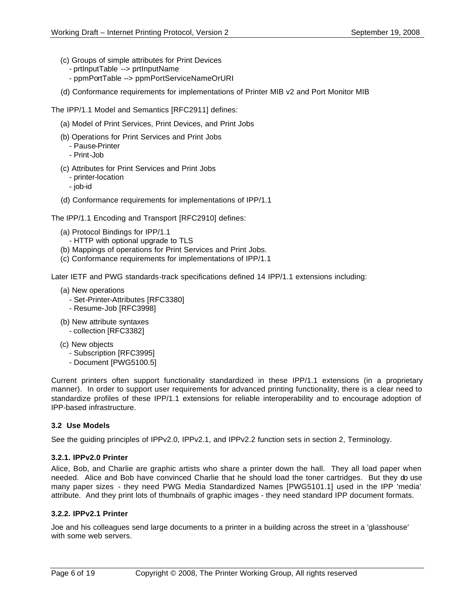- (c) Groups of simple attributes for Print Devices
	- prtInputTable --> prtInputName
	- ppmPortTable --> ppmPortServiceNameOrURI
- (d) Conformance requirements for implementations of Printer MIB v2 and Port Monitor MIB

The IPP/1.1 Model and Semantics [RFC2911] defines:

- (a) Model of Print Services, Print Devices, and Print Jobs
- (b) Operations for Print Services and Print Jobs
	- Pause-Printer
	- Print-Job
- (c) Attributes for Print Services and Print Jobs
	- printer-location
	- job-id
- (d) Conformance requirements for implementations of IPP/1.1

The IPP/1.1 Encoding and Transport [RFC2910] defines:

- (a) Protocol Bindings for IPP/1.1
	- HTTP with optional upgrade to TLS
- (b) Mappings of operations for Print Services and Print Jobs.
- (c) Conformance requirements for implementations of IPP/1.1

Later IETF and PWG standards-track specifications defined 14 IPP/1.1 extensions including:

- (a) New operations
	- Set-Printer-Attributes [RFC3380]
	- Resume-Job [RFC3998]
- (b) New attribute syntaxes - collection [RFC3382]
- (c) New objects
	- Subscription [RFC3995]
	- Document [PWG5100.5]

Current printers often support functionality standardized in these IPP/1.1 extensions (in a proprietary manner). In order to support user requirements for advanced printing functionality, there is a clear need to standardize profiles of these IPP/1.1 extensions for reliable interoperability and to encourage adoption of IPP-based infrastructure.

### **3.2 Use Models**

See the guiding principles of IPPv2.0, IPPv2.1, and IPPv2.2 function sets in section 2, Terminology.

#### **3.2.1. IPPv2.0 Printer**

Alice, Bob, and Charlie are graphic artists who share a printer down the hall. They all load paper when needed. Alice and Bob have convinced Charlie that he should load the toner cartridges. But they do use many paper sizes - they need PWG Media Standardized Names [PWG5101.1] used in the IPP 'media' attribute. And they print lots of thumbnails of graphic images - they need standard IPP document formats.

#### **3.2.2. IPPv2.1 Printer**

Joe and his colleagues send large documents to a printer in a building across the street in a 'glasshouse' with some web servers.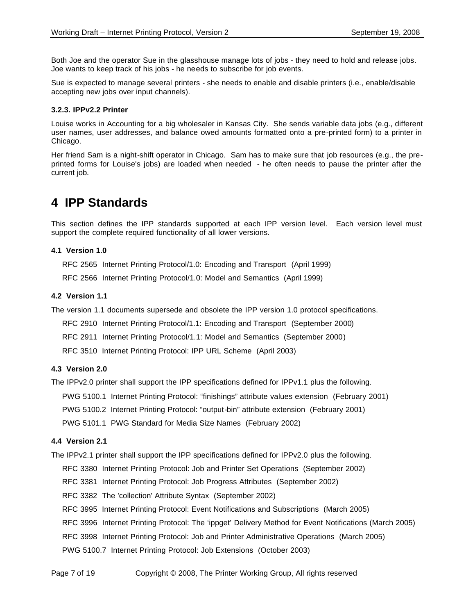Both Joe and the operator Sue in the glasshouse manage lots of jobs - they need to hold and release jobs. Joe wants to keep track of his jobs - he needs to subscribe for job events.

Sue is expected to manage several printers - she needs to enable and disable printers (i.e., enable/disable accepting new jobs over input channels).

#### **3.2.3. IPPv2.2 Printer**

Louise works in Accounting for a big wholesaler in Kansas City. She sends variable data jobs (e.g., different user names, user addresses, and balance owed amounts formatted onto a pre-printed form) to a printer in Chicago.

Her friend Sam is a night-shift operator in Chicago. Sam has to make sure that job resources (e.g., the preprinted forms for Louise's jobs) are loaded when needed - he often needs to pause the printer after the current job.

## **4 IPP Standards**

This section defines the IPP standards supported at each IPP version level. Each version level must support the complete required functionality of all lower versions.

#### **4.1 Version 1.0**

RFC 2565 Internet Printing Protocol/1.0: Encoding and Transport (April 1999)

RFC 2566 Internet Printing Protocol/1.0: Model and Semantics (April 1999)

#### **4.2 Version 1.1**

The version 1.1 documents supersede and obsolete the IPP version 1.0 protocol specifications.

RFC 2910 Internet Printing Protocol/1.1: Encoding and Transport (September 2000)

RFC 2911 Internet Printing Protocol/1.1: Model and Semantics (September 2000)

RFC 3510 Internet Printing Protocol: IPP URL Scheme (April 2003)

#### **4.3 Version 2.0**

The IPPv2.0 printer shall support the IPP specifications defined for IPPv1.1 plus the following.

PWG 5100.1 Internet Printing Protocol: "finishings" attribute values extension (February 2001)

PWG 5100.2 Internet Printing Protocol: "output-bin" attribute extension (February 2001)

PWG 5101.1 PWG Standard for Media Size Names (February 2002)

#### **4.4 Version 2.1**

The IPPv2.1 printer shall support the IPP specifications defined for IPPv2.0 plus the following.

RFC 3380 Internet Printing Protocol: Job and Printer Set Operations (September 2002)

RFC 3381 Internet Printing Protocol: Job Progress Attributes (September 2002)

RFC 3382 The 'collection' Attribute Syntax (September 2002)

RFC 3995 Internet Printing Protocol: Event Notifications and Subscriptions (March 2005)

RFC 3996 Internet Printing Protocol: The 'ippget' Delivery Method for Event Notifications (March 2005)

RFC 3998 Internet Printing Protocol: Job and Printer Administrative Operations (March 2005)

PWG 5100.7 Internet Printing Protocol: Job Extensions (October 2003)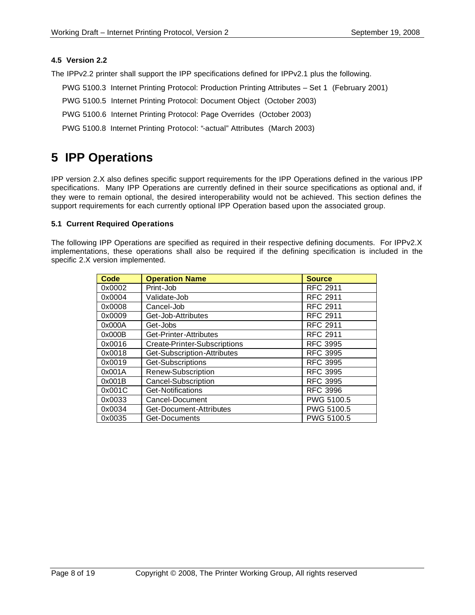#### **4.5 Version 2.2**

The IPPv2.2 printer shall support the IPP specifications defined for IPPv2.1 plus the following.

- PWG 5100.3 Internet Printing Protocol: Production Printing Attributes Set 1 (February 2001)
- PWG 5100.5 Internet Printing Protocol: Document Object (October 2003)
- PWG 5100.6 Internet Printing Protocol: Page Overrides (October 2003)
- PWG 5100.8 Internet Printing Protocol: "-actual" Attributes (March 2003)

# **5 IPP Operations**

IPP version 2.X also defines specific support requirements for the IPP Operations defined in the various IPP specifications. Many IPP Operations are currently defined in their source specifications as optional and, if they were to remain optional, the desired interoperability would not be achieved. This section defines the support requirements for each currently optional IPP Operation based upon the associated group.

#### **5.1 Current Required Operations**

The following IPP Operations are specified as required in their respective defining documents. For IPPv2.X implementations, these operations shall also be required if the defining specification is included in the specific 2.X version implemented.

| <b>Code</b> | <b>Operation Name</b>        | <b>Source</b>   |
|-------------|------------------------------|-----------------|
| 0x0002      | Print-Job                    | <b>RFC 2911</b> |
| 0x0004      | Validate-Job                 | <b>RFC 2911</b> |
| 0x0008      | Cancel-Job                   | <b>RFC 2911</b> |
| 0x0009      | Get-Job-Attributes           | <b>RFC 2911</b> |
| 0x000A      | Get-Jobs                     | <b>RFC 2911</b> |
| 0x000B      | Get-Printer-Attributes       | <b>RFC 2911</b> |
| 0x0016      | Create-Printer-Subscriptions | <b>RFC 3995</b> |
| 0x0018      | Get-Subscription-Attributes  | <b>RFC 3995</b> |
| 0x0019      | Get-Subscriptions            | <b>RFC 3995</b> |
| 0x001A      | Renew-Subscription           | <b>RFC 3995</b> |
| 0x001B      | Cancel-Subscription          | <b>RFC 3995</b> |
| 0x001C      | Get-Notifications            | <b>RFC 3996</b> |
| 0x0033      | Cancel-Document              | PWG 5100.5      |
| 0x0034      | Get-Document-Attributes      | PWG 5100.5      |
| 0x0035      | Get-Documents                | PWG 5100.5      |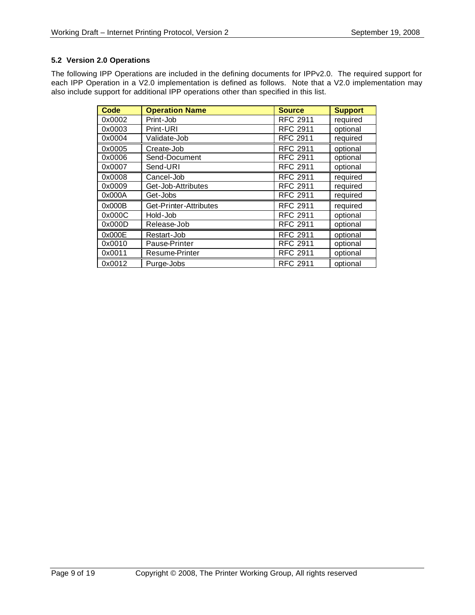### **5.2 Version 2.0 Operations**

The following IPP Operations are included in the defining documents for IPPv2.0. The required support for each IPP Operation in a V2.0 implementation is defined as follows. Note that a V2.0 implementation may also include support for additional IPP operations other than specified in this list.

| <b>Code</b> | <b>Operation Name</b>  | <b>Source</b>   | <b>Support</b> |
|-------------|------------------------|-----------------|----------------|
| 0x0002      | Print-Job              | <b>RFC 2911</b> | required       |
| 0x0003      | Print-URI              | <b>RFC 2911</b> | optional       |
| 0x0004      | Validate-Job           | <b>RFC 2911</b> | required       |
| 0x0005      | Create-Job             | <b>RFC 2911</b> | optional       |
| 0x0006      | Send-Document          | <b>RFC 2911</b> | optional       |
| 0x0007      | Send-URI               | <b>RFC 2911</b> | optional       |
| 0x0008      | Cancel-Job             | <b>RFC 2911</b> | required       |
| 0x0009      | Get-Job-Attributes     | <b>RFC 2911</b> | required       |
| 0x000A      | Get-Jobs               | <b>RFC 2911</b> | required       |
| 0x000B      | Get-Printer-Attributes | <b>RFC 2911</b> | required       |
| 0x000C      | Hold-Job               | <b>RFC 2911</b> | optional       |
| 0x000D      | Release-Job            | <b>RFC 2911</b> | optional       |
| 0x000E      | Restart-Job            | <b>RFC 2911</b> | optional       |
| 0x0010      | Pause-Printer          | <b>RFC 2911</b> | optional       |
| 0x0011      | Resume-Printer         | <b>RFC 2911</b> | optional       |
| 0x0012      | Purge-Jobs             | <b>RFC 2911</b> | optional       |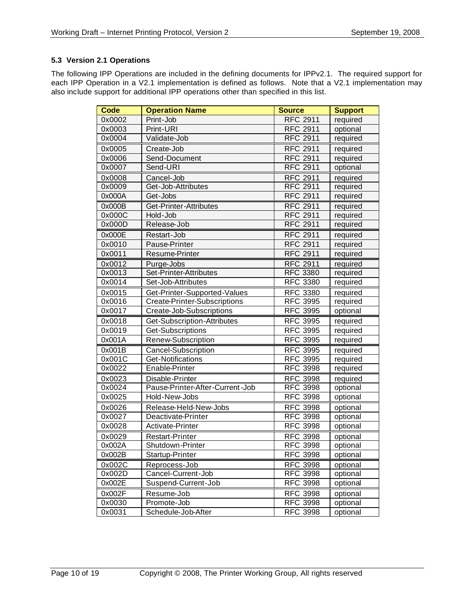### **5.3 Version 2.1 Operations**

The following IPP Operations are included in the defining documents for IPPv2.1. The required support for each IPP Operation in a V2.1 implementation is defined as follows. Note that a V2.1 implementation may also include support for additional IPP operations other than specified in this list.

| <b>Code</b> | <b>Operation Name</b>           | <b>Source</b>   | <b>Support</b> |
|-------------|---------------------------------|-----------------|----------------|
| 0x0002      | Print-Job                       | <b>RFC 2911</b> | required       |
| 0x0003      | Print-URI                       | <b>RFC 2911</b> | optional       |
| 0x0004      | Validate-Job                    | <b>RFC 2911</b> | required       |
| 0x0005      | Create-Job                      | <b>RFC 2911</b> | required       |
| 0x0006      | Send-Document                   | <b>RFC 2911</b> | required       |
| 0x0007      | Send-URI                        | <b>RFC 2911</b> | optional       |
| 0x0008      | Cancel-Job                      | <b>RFC 2911</b> | required       |
| 0x0009      | Get-Job-Attributes              | <b>RFC 2911</b> | required       |
| 0x000A      | Get-Jobs                        | <b>RFC 2911</b> | required       |
| 0x000B      | Get-Printer-Attributes          | <b>RFC 2911</b> | required       |
| 0x000C      | Hold-Job                        | <b>RFC 2911</b> | required       |
| 0x000D      | Release-Job                     | <b>RFC 2911</b> | required       |
| 0x000E      | Restart-Job                     | <b>RFC 2911</b> | required       |
| 0x0010      | Pause-Printer                   | <b>RFC 2911</b> | required       |
| 0x0011      | Resume-Printer                  | <b>RFC 2911</b> | required       |
| 0x0012      | Purge-Jobs                      | <b>RFC 2911</b> | required       |
| 0x0013      | Set-Printer-Attributes          | <b>RFC 3380</b> | required       |
| 0x0014      | Set-Job-Attributes              | <b>RFC 3380</b> | required       |
| 0x0015      | Get-Printer-Supported-Values    | <b>RFC 3380</b> | required       |
| 0x0016      | Create-Printer-Subscriptions    | <b>RFC 3995</b> | required       |
| 0x0017      | Create-Job-Subscriptions        | <b>RFC 3995</b> | optional       |
| 0x0018      | Get-Subscription-Attributes     | <b>RFC 3995</b> | required       |
| 0x0019      | Get-Subscriptions               | <b>RFC 3995</b> | required       |
| 0x001A      | Renew-Subscription              | <b>RFC 3995</b> | required       |
| 0x001B      | Cancel-Subscription             | <b>RFC 3995</b> | required       |
| 0x001C      | Get-Notifications               | <b>RFC 3995</b> | required       |
| 0x0022      | Enable-Printer                  | <b>RFC 3998</b> | required       |
| 0x0023      | Disable-Printer                 | <b>RFC 3998</b> | required       |
| 0x0024      | Pause-Printer-After-Current-Job | <b>RFC 3998</b> | optional       |
| 0x0025      | Hold-New-Jobs                   | <b>RFC 3998</b> | optional       |
| 0x0026      | Release-Held-New-Jobs           | <b>RFC 3998</b> | optional       |
| 0x0027      | Deactivate-Printer              | <b>RFC 3998</b> | optional       |
| 0x0028      | Activate-Printer                | <b>RFC 3998</b> | optional       |
| 0x0029      | Restart-Printer                 | <b>RFC 3998</b> | optional       |
| 0x002A      | Shutdown-Printer                | <b>RFC 3998</b> | optional       |
| 0x002B      | Startup-Printer                 | RFC 3998        | optional       |
| 0x002C      | Reprocess-Job                   | <b>RFC 3998</b> | optional       |
| 0x002D      | Cancel-Current-Job              | <b>RFC 3998</b> | optional       |
| 0x002E      | Suspend-Current-Job             | <b>RFC 3998</b> | optional       |
| 0x002F      | Resume-Job                      | <b>RFC 3998</b> | optional       |
| 0x0030      | Promote-Job                     | <b>RFC 3998</b> | optional       |
| 0x0031      | Schedule-Job-After              | <b>RFC 3998</b> | optional       |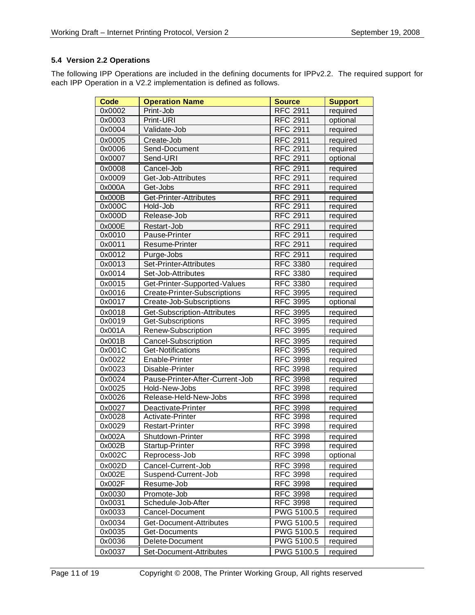## **5.4 Version 2.2 Operations**

The following IPP Operations are included in the defining documents for IPPv2.2. The required support for each IPP Operation in a V2.2 implementation is defined as follows.

| <b>Code</b> | <b>Operation Name</b>           | <b>Source</b>   | <b>Support</b> |
|-------------|---------------------------------|-----------------|----------------|
| 0x0002      | Print-Job                       | <b>RFC 2911</b> | required       |
| 0x0003      | Print-URI                       | <b>RFC 2911</b> | optional       |
| 0x0004      | Validate-Job                    | <b>RFC 2911</b> | required       |
| 0x0005      | Create-Job                      | <b>RFC 2911</b> | required       |
| 0x0006      | Send-Document                   | <b>RFC 2911</b> | required       |
| 0x0007      | Send-URI                        | <b>RFC 2911</b> | optional       |
| 0x0008      | Cancel-Job                      | <b>RFC 2911</b> | required       |
| 0x0009      | Get-Job-Attributes              | <b>RFC 2911</b> | required       |
| 0x000A      | Get-Jobs                        | <b>RFC 2911</b> | required       |
| 0x000B      | Get-Printer-Attributes          | <b>RFC 2911</b> | required       |
| 0x000C      | Hold-Job                        | <b>RFC 2911</b> | required       |
| 0x000D      | Release-Job                     | <b>RFC 2911</b> | required       |
| 0x000E      | Restart-Job                     | <b>RFC 2911</b> | required       |
| 0x0010      | Pause-Printer                   | <b>RFC 2911</b> | required       |
| 0x0011      | Resume-Printer                  | <b>RFC 2911</b> | required       |
| 0x0012      | Purge-Jobs                      | <b>RFC 2911</b> | required       |
| 0x0013      | Set-Printer-Attributes          | <b>RFC 3380</b> | required       |
| 0x0014      | Set-Job-Attributes              | <b>RFC 3380</b> | required       |
| 0x0015      | Get-Printer-Supported-Values    | <b>RFC 3380</b> | required       |
| 0x0016      | Create-Printer-Subscriptions    | <b>RFC 3995</b> | required       |
| 0x0017      | Create-Job-Subscriptions        | <b>RFC 3995</b> | optional       |
| 0x0018      | Get-Subscription-Attributes     | <b>RFC 3995</b> | required       |
| 0x0019      | Get-Subscriptions               | <b>RFC 3995</b> | required       |
| 0x001A      | Renew-Subscription              | <b>RFC 3995</b> | required       |
| 0x001B      | Cancel-Subscription             | <b>RFC 3995</b> | required       |
| 0x001C      | Get-Notifications               | <b>RFC 3995</b> | required       |
| 0x0022      | Enable-Printer                  | <b>RFC 3998</b> | required       |
| 0x0023      | Disable-Printer                 | <b>RFC 3998</b> | required       |
| 0x0024      | Pause-Printer-After-Current-Job | <b>RFC 3998</b> | required       |
| 0x0025      | Hold-New-Jobs                   | <b>RFC 3998</b> | required       |
| 0x0026      | Release-Held-New-Jobs           | <b>RFC 3998</b> | required       |
| 0x0027      | Deactivate-Printer              | <b>RFC 3998</b> | required       |
| 0x0028      | Activate-Printer                | <b>RFC 3998</b> | required       |
| 0x0029      | <b>Restart-Printer</b>          | <b>RFC 3998</b> | required       |
| 0x002A      | Shutdown-Printer                | <b>RFC 3998</b> | required       |
| 0x002B      | Startup-Printer                 | <b>RFC 3998</b> | required       |
| 0x002C      | Reprocess-Job                   | <b>RFC 3998</b> | optional       |
| 0x002D      | Cancel-Current-Job              | <b>RFC 3998</b> | required       |
| 0x002E      | Suspend-Current-Job             | <b>RFC 3998</b> | required       |
| 0x002F      | Resume-Job                      | <b>RFC 3998</b> | required       |
| 0x0030      | Promote-Job                     | <b>RFC 3998</b> | required       |
| 0x0031      | Schedule-Job-After              | <b>RFC 3998</b> | required       |
| 0x0033      | Cancel-Document                 | PWG 5100.5      | required       |
| 0x0034      | Get-Document-Attributes         | PWG 5100.5      | required       |
| 0x0035      | Get-Documents                   | PWG 5100.5      | required       |
| 0x0036      | Delete-Document                 | PWG 5100.5      | required       |
| 0x0037      | Set-Document-Attributes         | PWG 5100.5      | required       |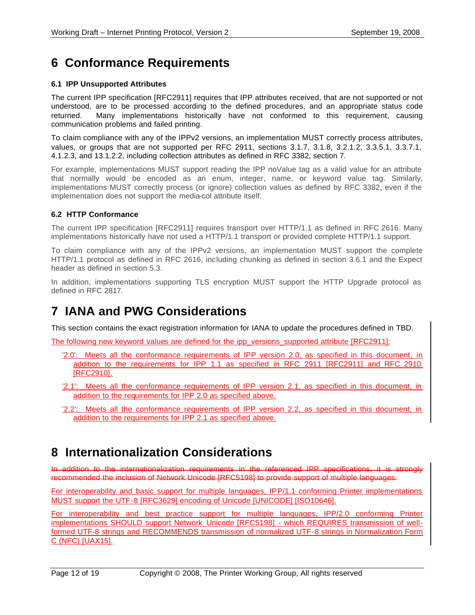# **6 Conformance Requirements**

### **6.1 IPP Unsupported Attributes**

The current IPP specification [RFC2911] requires that IPP attributes received, that are not supported or not understood, are to be processed according to the defined procedures, and an appropriate status code returned. Many implementations historically have not conformed to this requirement, causing communication problems and failed printing.

To claim compliance with any of the IPPv2 versions, an implementation MUST correctly process attributes, values, or groups that are not supported per RFC 2911, sections 3.1.7, 3.1.8, 3.2.1.2, 3.3.5.1, 3.3.7.1, 4.1.2.3, and 13.1.2.2, including collection attributes as defined in RFC 3382, section 7.

For example, implementations MUST support reading the IPP noValue tag as a valid value for an attribute that normally would be encoded as an enum, integer, name, or keyword value tag. Similarly, implementations MUST correctly process (or ignore) collection values as defined by RFC 3382, even if the implementation does not support the media-col attribute itself.

#### **6.2 HTTP Conformance**

The current IPP specification [RFC2911] requires transport over HTTP/1.1 as defined in RFC 2616. Many implementations historically have not used a HTTP/1.1 transport or provided complete HTTP/1.1 support.

To claim compliance with any of the IPPv2 versions, an implementation MUST support the complete HTTP/1.1 protocol as defined in RFC 2616, including chunking as defined in section 3.6.1 and the Expect header as defined in section 5.3.

In addition, implementations supporting TLS encryption MUST support the HTTP Upgrade protocol as defined in RFC 2817.

## **7 IANA and PWG Considerations**

This section contains the exact registration information for IANA to update the procedures defined in TBD.

The following new keyword values are defined for the ipp\_versions\_supported attribute [RFC2911]:

- '2.0': Meets all the conformance requirements of IPP version 2.0, as specified in this document, in addition to the requirements for IPP 1.1 as specified in RFC 2911 [RFC2911] and RFC 2910 [RFC2910].
- '2.1': Meets all the conformance requirements of IPP version 2.1, as specified in this document, in addition to the requirements for IPP 2.0 as specified above.
- '2.2': Meets all the conformance requirements of IPP version 2.2, as specified in this document, in addition to the requirements for IPP 2.1 as specified above.

## **8 Internationalization Considerations**

In addition to the internationalization requirements in the referenced IPP specifications, it is strongly recommended the inclusion of Network Unicode [RFC5198] to provide support of multiple languages.

For interoperability and basic support for multiple languages, IPP/1.1 conforming Printer implementations MUST support the UTF-8 [RFC3629] encoding of Unicode [UNICODE] [ISO10646].

For interoperability and best practice support for multiple languages, IPP/2.0 conforming Printer implementations SHOULD support Network Unicode [RFC5198] - which REQUIRES transmission of wellformed UTF-8 strings and RECOMMENDS transmission of normalized UTF-8 strings in Normalization Form C (NFC) [UAX15].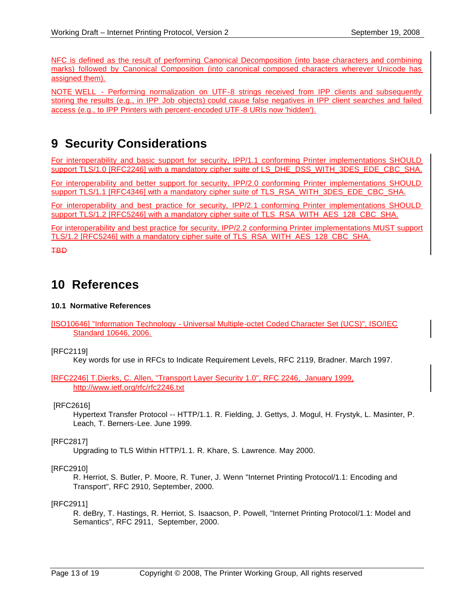NFC is defined as the result of performing Canonical Decomposition (into base characters and combining marks) followed by Canonical Composition (into canonical composed characters wherever Unicode has assigned them).

NOTE WELL - Performing normalization on UTF-8 strings received from IPP clients and subsequently storing the results (e.g., in IPP Job objects) could cause false negatives in IPP client searches and failed access (e.g., to IPP Printers with percent-encoded UTF -8 URIs now 'hidden').

# **9 Security Considerations**

For interoperability and basic support for security, IPP/1.1 conforming Printer implementations SHOULD support TLS/1.0 [RFC2246] with a mandatory cipher suite of LS\_DHE\_DSS\_WITH\_3DES\_EDE\_CBC\_SHA.

For interoperability and better support for security, IPP/2.0 conforming Printer implementations SHOULD support TLS/1.1 [RFC4346] with a mandatory cipher suite of TLS\_RSA\_WITH\_3DES\_EDE\_CBC\_SHA.

For interoperability and best practice for security, IPP/2.1 conforming Printer implementations SHOULD support TLS/1.2 [RFC5246] with a mandatory cipher suite of TLS\_RSA\_WITH\_AES\_128\_CBC\_SHA.

For interoperability and best practice for security, IPP/2.2 conforming Printer implementations MUST support TLS/1.2 [RFC5246] with a mandatory cipher suite of TLS\_RSA\_WITH\_AES\_128\_CBC\_SHA.

TBD

## **10 References**

#### **10.1 Normative References**

#### [RFC2119]

Key words for use in RFCs to Indicate Requirement Levels, RFC 2119, Bradner. March 1997.

[RFC2246] T.Dierks, C. Allen, "Transport Layer Security 1.0", RFC 2246, January 1999, http://www.ietf.org/rfc/rfc2246.txt

#### [RFC2616]

Hypertext Transfer Protocol -- HTTP/1.1. R. Fielding, J. Gettys, J. Mogul, H. Frystyk, L. Masinter, P. Leach, T. Berners-Lee. June 1999.

#### [RFC2817]

Upgrading to TLS Within HTTP/1.1. R. Khare, S. Lawrence. May 2000.

#### [RFC2910]

R. Herriot, S. Butler, P. Moore, R. Tuner, J. Wenn "Internet Printing Protocol/1.1: Encoding and Transport", RFC 2910, September, 2000.

#### [RFC2911]

R. deBry, T. Hastings, R. Herriot, S. Isaacson, P. Powell, "Internet Printing Protocol/1.1: Model and Semantics", RFC 2911, September, 2000.

<sup>[</sup>ISO10646] "Information Technology - Universal Multiple-octet Coded Character Set (UCS)", ISO/IEC Standard 10646, 2006.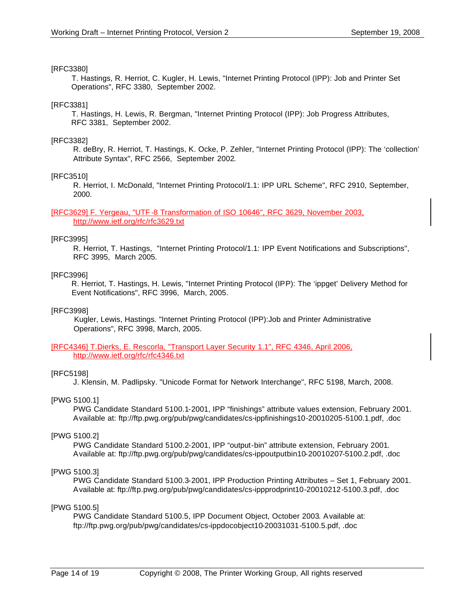#### [RFC3380]

 T. Hastings, R. Herriot, C. Kugler, H. Lewis, "Internet Printing Protocol (IPP): Job and Printer Set Operations", RFC 3380, September 2002.

#### [RFC3381]

 T. Hastings, H. Lewis, R. Bergman, "Internet Printing Protocol (IPP): Job Progress Attributes, RFC 3381, September 2002.

#### [RFC3382]

R. deBry, R. Herriot, T. Hastings, K. Ocke, P. Zehler, "Internet Printing Protocol (IPP): The 'collection' Attribute Syntax", RFC 2566, September 2002.

#### [RFC3510]

R. Herriot, I. McDonald, "Internet Printing Protocol/1.1: IPP URL Scheme", RFC 2910, September, 2000.

#### [RFC3629] F. Yergeau, "UTF -8 Transformation of ISO 10646", RFC 3629, November 2003, http://www.ietf.org/rfc/rfc3629.txt

### [RFC3995]

R. Herriot, T. Hastings, "Internet Printing Protocol/1.1: IPP Event Notifications and Subscriptions", RFC 3995, March 2005.

#### [RFC3996]

 R. Herriot, T. Hastings, H. Lewis, "Internet Printing Protocol (IPP): The 'ippget' Delivery Method for Event Notifications", RFC 3996, March, 2005.

#### [RFC3998]

 Kugler, Lewis, Hastings. "Internet Printing Protocol (IPP):Job and Printer Administrative Operations", RFC 3998, March, 2005.

#### [RFC4346] T.Dierks, E. Rescorla, "Transport Layer Security 1.1", RFC 4346, April 2006, http://www.ietf.org/rfc/rfc4346.txt

#### [RFC5198]

J. Klensin, M. Padlipsky. "Unicode Format for Network Interchange", RFC 5198, March, 2008.

#### [PWG 5100.1]

PWG Candidate Standard 5100.1-2001, IPP "finishings" attribute values extension, February 2001. Available at: ftp://ftp.pwg.org/pub/pwg/candidates/cs-ippfinishings10-20010205-5100.1.pdf, .doc

#### [PWG 5100.2]

PWG Candidate Standard 5100.2-2001, IPP "output-bin" attribute extension, February 2001. Available at: ftp://ftp.pwg.org/pub/pwg/candidates/cs-ippoutputbin10-20010207-5100.2.pdf, .doc

#### [PWG 5100.3]

PWG Candidate Standard 5100.3-2001, IPP Production Printing Attributes – Set 1, February 2001. Available at: ftp://ftp.pwg.org/pub/pwg/candidates/cs-ippprodprint10-20010212-5100.3.pdf, .doc

#### [PWG 5100.5]

PWG Candidate Standard 5100.5, IPP Document Object, October 2003. Available at: ftp://ftp.pwg.org/pub/pwg/candidates/cs-ippdocobject10-20031031-5100.5.pdf, .doc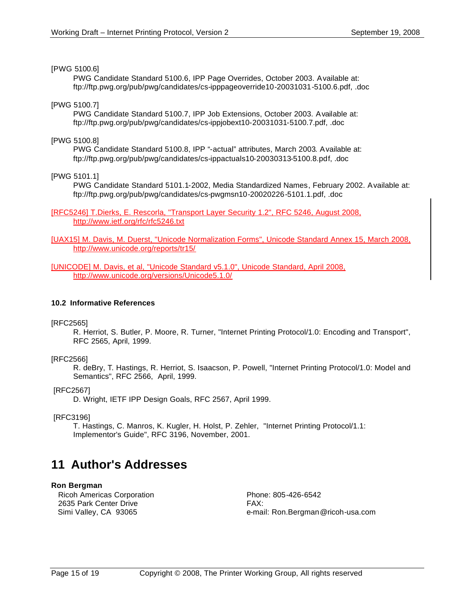#### [PWG 5100.6]

PWG Candidate Standard 5100.6, IPP Page Overrides, October 2003. Available at: ftp://ftp.pwg.org/pub/pwg/candidates/cs-ipppageoverride10-20031031-5100.6.pdf, .doc

#### [PWG 5100.7]

PWG Candidate Standard 5100.7, IPP Job Extensions, October 2003. Available at: ftp://ftp.pwg.org/pub/pwg/candidates/cs-ippjobext10-20031031-5100.7.pdf, .doc

#### [PWG 5100.8]

PWG Candidate Standard 5100.8, IPP "-actual" attributes, March 2003. Available at: ftp://ftp.pwg.org/pub/pwg/candidates/cs-ippactuals10-20030313-5100.8.pdf, .doc

[PWG 5101.1]

PWG Candidate Standard 5101.1-2002, Media Standardized Names, February 2002. Available at: ftp://ftp.pwg.org/pub/pwg/candidates/cs-pwgmsn10-20020226-5101.1.pdf, .doc

[RFC5246] T.Dierks, E. Rescorla, "Transport Layer Security 1.2", RFC 5246, August 2008, http://www.ietf.org/rfc/rfc5246.txt

[UAX15] M. Davis, M. Duerst, "Unicode Normalization Forms", Unicode Standard Annex 15, March 2008, http://www.unicode.org/reports/tr15/

[UNICODE] M. Davis, et al, "Unicode Standard v5.1.0", Unicode Standard, April 2008, http://www.unicode.org/versions/Unicode5.1.0/

#### **10.2 Informative References**

#### [RFC2565]

R. Herriot, S. Butler, P. Moore, R. Turner, "Internet Printing Protocol/1.0: Encoding and Transport", RFC 2565, April, 1999.

#### [RFC2566]

R. deBry, T. Hastings, R. Herriot, S. Isaacson, P. Powell, "Internet Printing Protocol/1.0: Model and Semantics", RFC 2566, April, 1999.

#### [RFC2567]

D. Wright, IETF IPP Design Goals, RFC 2567, April 1999.

#### [RFC3196]

T. Hastings, C. Manros, K. Kugler, H. Holst, P. Zehler, "Internet Printing Protocol/1.1: Implementor's Guide", RFC 3196, November, 2001.

# **11 Author's Addresses**

#### **Ron Bergman**

Ricoh Americas Corporation **Phone: 805-426-6542** 2635 Park Center Drive FAX:

Simi Valley, CA 93065 e-mail: Ron.Bergman@ricoh-usa.com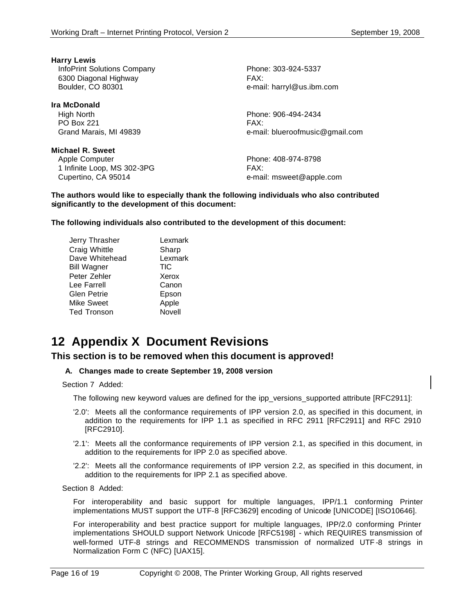**Harry Lewis** InfoPrint Solutions Company Phone: 303-924-5337 6300 Diagonal Highway FAX:

**Ira McDonald** High North Phone: 906-494-2434 PO Box 221 FAX:

**Michael R. Sweet** Apple Computer **Phone: 408-974-8798** 1 Infinite Loop, MS 302-3PG FAX: Cupertino, CA 95014 e-mail: msweet@apple.com

Boulder, CO 80301 e-mail: harryl@us.ibm.com

Grand Marais, MI 49839 **E-mail:** blueroofmusic@gmail.com

**The authors would like to especially thank the following individuals who also contributed significantly to the development of this document:**

**The following individuals also contributed to the development of this document:**

| Jerry Thrasher     | Lexmark    |
|--------------------|------------|
| Craig Whittle      | Sharp      |
| Dave Whitehead     | Lexmark    |
| <b>Bill Wagner</b> | <b>TIC</b> |
| Peter Zehler       | Xerox      |
| Lee Farrell        | Canon      |
| Glen Petrie        | Epson      |
| Mike Sweet         | Apple      |
| Ted Tronson        | Novell     |
|                    |            |

## **12 Appendix X Document Revisions**

#### **This section is to be removed when this document is approved!**

#### **A. Changes made to create September 19, 2008 version**

Section 7 Added:

The following new keyword values are defined for the ipp\_versions\_supported attribute [RFC2911]:

- '2.0': Meets all the conformance requirements of IPP version 2.0, as specified in this document, in addition to the requirements for IPP 1.1 as specified in RFC 2911 [RFC2911] and RFC 2910 [RFC2910].
- '2.1': Meets all the conformance requirements of IPP version 2.1, as specified in this document, in addition to the requirements for IPP 2.0 as specified above.
- '2.2': Meets all the conformance requirements of IPP version 2.2, as specified in this document, in addition to the requirements for IPP 2.1 as specified above.

Section 8 Added:

For interoperability and basic support for multiple languages, IPP/1.1 conforming Printer implementations MUST support the UTF-8 [RFC3629] encoding of Unicode [UNICODE] [ISO10646].

For interoperability and best practice support for multiple languages, IPP/2.0 conforming Printer implementations SHOULD support Network Unicode [RFC5198] - which REQUIRES transmission of well-formed UTF-8 strings and RECOMMENDS transmission of normalized UTF -8 strings in Normalization Form C (NFC) [UAX15].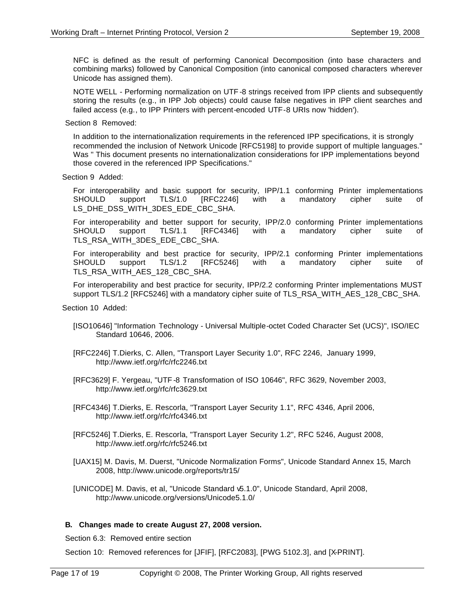NFC is defined as the result of performing Canonical Decomposition (into base characters and combining marks) followed by Canonical Composition (into canonical composed characters wherever Unicode has assigned them).

NOTE WELL - Performing normalization on UTF -8 strings received from IPP clients and subsequently storing the results (e.g., in IPP Job objects) could cause false negatives in IPP client searches and failed access (e.g., to IPP Printers with percent-encoded UTF-8 URIs now 'hidden').

Section 8 Removed:

In addition to the internationalization requirements in the referenced IPP specifications, it is strongly recommended the inclusion of Network Unicode [RFC5198] to provide support of multiple languages." Was " This document presents no internationalization considerations for IPP implementations beyond those covered in the referenced IPP Specifications."

Section 9 Added:

For interoperability and basic support for security, IPP/1.1 conforming Printer implementations SHOULD support TLS/1.0 [RFC2246] with a mandatory cipher suite of LS\_DHE\_DSS\_WITH\_3DES\_EDE\_CBC\_SHA.

For interoperability and better support for security, IPP/2.0 conforming Printer implementations SHOULD support TLS/1.1 [RFC4346] with a mandatory cipher suite of TLS\_RSA\_WITH\_3DES\_EDE\_CBC\_SHA.

For interoperability and best practice for security, IPP/2.1 conforming Printer implementations SHOULD support TLS/1.2 [RFC5246] with a mandatory cipher suite of TLS\_RSA\_WITH\_AES\_128\_CBC\_SHA.

For interoperability and best practice for security, IPP/2.2 conforming Printer implementations MUST support TLS/1.2 [RFC5246] with a mandatory cipher suite of TLS\_RSA\_WITH\_AES\_128\_CBC\_SHA.

Section 10 Added:

- [ISO10646] "Information Technology Universal Multiple-octet Coded Character Set (UCS)", ISO/IEC Standard 10646, 2006.
- [RFC2246] T.Dierks, C. Allen, "Transport Layer Security 1.0", RFC 2246, January 1999, http://www.ietf.org/rfc/rfc2246.txt
- [RFC3629] F. Yergeau, "UTF -8 Transformation of ISO 10646", RFC 3629, November 2003, http://www.ietf.org/rfc/rfc3629.txt
- [RFC4346] T.Dierks, E. Rescorla, "Transport Layer Security 1.1", RFC 4346, April 2006, http://www.ietf.org/rfc/rfc4346.txt
- [RFC5246] T.Dierks, E. Rescorla, "Transport Layer Security 1.2", RFC 5246, August 2008, http://www.ietf.org/rfc/rfc5246.txt
- [UAX15] M. Davis, M. Duerst, "Unicode Normalization Forms", Unicode Standard Annex 15, March 2008, http://www.unicode.org/reports/tr15/
- [UNICODE] M. Davis, et al, "Unicode Standard v5.1.0", Unicode Standard, April 2008, http://www.unicode.org/versions/Unicode5.1.0/

#### **B. Changes made to create August 27, 2008 version.**

Section 6.3: Removed entire section

Section 10: Removed references for [JFIF], [RFC2083], [PWG 5102.3], and [X-PRINT].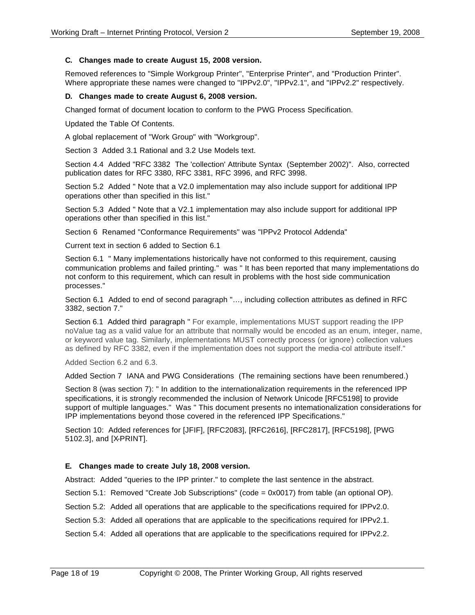#### **C. Changes made to create August 15, 2008 version.**

Removed references to "Simple Workgroup Printer", "Enterprise Printer", and "Production Printer". Where appropriate these names were changed to "IPPv2.0", "IPPv2.1", and "IPPv2.2" respectively.

#### **D. Changes made to create August 6, 2008 version.**

Changed format of document location to conform to the PWG Process Specification.

Updated the Table Of Contents.

A global replacement of "Work Group" with "Workgroup".

Section 3 Added 3.1 Rational and 3.2 Use Models text.

Section 4.4 Added "RFC 3382 The 'collection' Attribute Syntax (September 2002)". Also, corrected publication dates for RFC 3380, RFC 3381, RFC 3996, and RFC 3998.

Section 5.2 Added " Note that a V2.0 implementation may also include support for additional IPP operations other than specified in this list."

Section 5.3 Added " Note that a V2.1 implementation may also include support for additional IPP operations other than specified in this list."

Section 6 Renamed "Conformance Requirements" was "IPPv2 Protocol Addenda"

Current text in section 6 added to Section 6.1

Section 6.1 " Many implementations historically have not conformed to this requirement, causing communication problems and failed printing." was " It has been reported that many implementations do not conform to this requirement, which can result in problems with the host side communication processes."

Section 6.1 Added to end of second paragraph "…, including collection attributes as defined in RFC 3382, section 7."

Section 6.1 Added third paragraph " For example, implementations MUST support reading the IPP noValue tag as a valid value for an attribute that normally would be encoded as an enum, integer, name, or keyword value tag. Similarly, implementations MUST correctly process (or ignore) collection values as defined by RFC 3382, even if the implementation does not support the media-col attribute itself."

Added Section 6.2 and 6.3.

Added Section 7 IANA and PWG Considerations (The remaining sections have been renumbered.)

Section 8 (was section 7): " In addition to the internationalization requirements in the referenced IPP specifications, it is strongly recommended the inclusion of Network Unicode [RFC5198] to provide support of multiple languages." Was " This document presents no internationalization considerations for IPP implementations beyond those covered in the referenced IPP Specifications."

Section 10: Added references for [JFIF], [RFC2083], [RFC2616], [RFC2817], [RFC5198], [PWG 5102.3], and [X-PRINT].

#### **E. Changes made to create July 18, 2008 version.**

Abstract: Added "queries to the IPP printer." to complete the last sentence in the abstract.

Section 5.1: Removed "Create Job Subscriptions" (code = 0x0017) from table (an optional OP).

Section 5.2: Added all operations that are applicable to the specifications required for IPPv2.0.

Section 5.3: Added all operations that are applicable to the specifications required for IPPv2.1.

Section 5.4: Added all operations that are applicable to the specifications required for IPPv2.2.